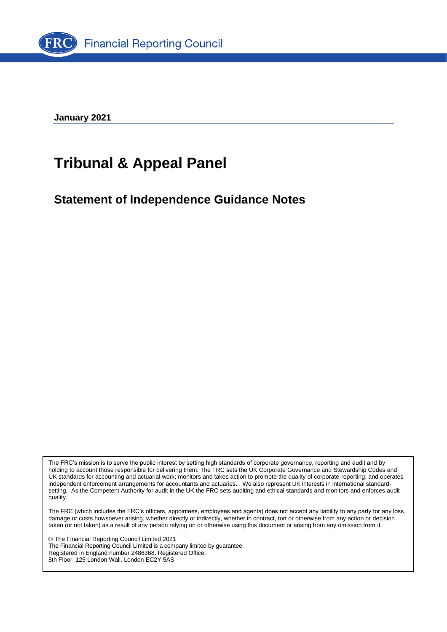

**January 2021**

## **Tribunal & Appeal Panel**

**Statement of Independence Guidance Notes**

The FRC's mission is to serve the public interest by setting high standards of corporate governance, reporting and audit and by holding to account those responsible for delivering them. The FRC sets the UK Corporate Governance and Stewardship Codes and UK standards for accounting and actuarial work; monitors and takes action to promote the quality of corporate reporting; and operates independent enforcement arrangements for accountants and actuaries. . We also represent UK interests in international standardsetting. As the Competent Authority for audit in the UK the FRC sets auditing and ethical standards and monitors and enforces audit quality.

The FRC (which includes the FRC's officers, appointees, employees and agents) does not accept any liability to any party for any loss, damage or costs howsoever arising, whether directly or indirectly, whether in contract, tort or otherwise from any action or decision taken (or not taken) as a result of any person relying on or otherwise using this document or arising from any omission from it.

© The Financial Reporting Council Limited 2021 The Financial Reporting Council Limited is a company limited by guarantee. Registered in England number 2486368. Registered Office: 8th Floor, 125 London Wall, London EC2Y 5AS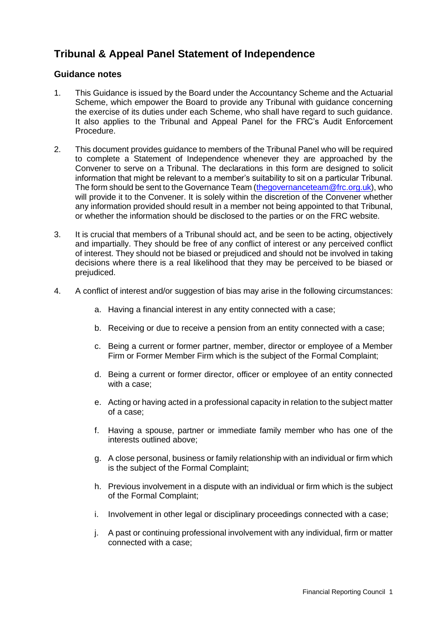## **Tribunal & Appeal Panel Statement of Independence**

## **Guidance notes**

- 1. This Guidance is issued by the Board under the Accountancy Scheme and the Actuarial Scheme, which empower the Board to provide any Tribunal with guidance concerning the exercise of its duties under each Scheme, who shall have regard to such guidance. It also applies to the Tribunal and Appeal Panel for the FRC's Audit Enforcement Procedure.
- 2. This document provides guidance to members of the Tribunal Panel who will be required to complete a Statement of Independence whenever they are approached by the Convener to serve on a Tribunal. The declarations in this form are designed to solicit information that might be relevant to a member's suitability to sit on a particular Tribunal. The form should be sent to the Governance Team [\(thegovernanceteam@frc.org.uk\)](mailto:thegovernanceteam@frc.org.uk), who will provide it to the Convener. It is solely within the discretion of the Convener whether any information provided should result in a member not being appointed to that Tribunal, or whether the information should be disclosed to the parties or on the FRC website.
- 3. It is crucial that members of a Tribunal should act, and be seen to be acting, objectively and impartially. They should be free of any conflict of interest or any perceived conflict of interest. They should not be biased or prejudiced and should not be involved in taking decisions where there is a real likelihood that they may be perceived to be biased or prejudiced.
- 4. A conflict of interest and/or suggestion of bias may arise in the following circumstances:
	- a. Having a financial interest in any entity connected with a case;
	- b. Receiving or due to receive a pension from an entity connected with a case;
	- c. Being a current or former partner, member, director or employee of a Member Firm or Former Member Firm which is the subject of the Formal Complaint;
	- d. Being a current or former director, officer or employee of an entity connected with a case:
	- e. Acting or having acted in a professional capacity in relation to the subject matter of a case;
	- f. Having a spouse, partner or immediate family member who has one of the interests outlined above;
	- g. A close personal, business or family relationship with an individual or firm which is the subject of the Formal Complaint;
	- h. Previous involvement in a dispute with an individual or firm which is the subject of the Formal Complaint;
	- i. Involvement in other legal or disciplinary proceedings connected with a case;
	- j. A past or continuing professional involvement with any individual, firm or matter connected with a case;